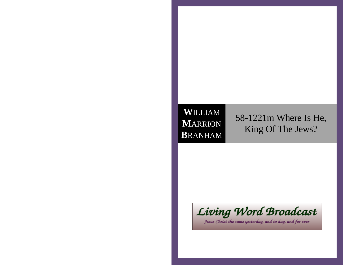## **W**ILLIAM **M**ARRION**B**RANHAM

58-1221m Where Is He,King Of The Jews?



Jesus Christ the same yesterday, and to day, and for ever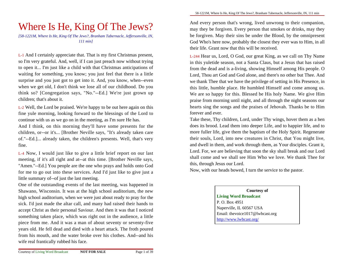# Where Is He, King Of The Jews?

 *[58-1221M, Where Is He, King Of The Jews?, Branham Tabernacle, Jeffersonville, IN,111 min]*

L-1 And I certainly appreciate that. That is my first Christmas present,so I'm very grateful. And, well, if I can just preach now without trying to open it... I'm just like a child with that Christmas anticipations ofwaiting for something, you know; you just feel that there is a little surprise and you just got to get into it. And, you know, when--even when we get old, I don't think we lose all of our childhood. Do you think so? [Congregation says, "No."--Ed.] We're just grown upchildren; that's about it.

L-2 Well, the Lord be praised. We're happy to be out here again on this fine yule morning, looking forward to the blessings of the Lord tocontinue with us as we go on in the meeting, as I'm sure He has.

And I think, on this morning they'll have some presents for the children, or--or it's... [Brother Neville says, "It's already taken care of."--Ed.]... already taken, the children's presents. Well, that's veryfine.

L-4 Now, I would just like to give a little brief report on our lastmeeting, if it's all right and at--at this time. [Brother Neville says,"Amen."--Ed.] You people are the one who prays and holds onto God for me to go out into these services. And I'd just like to give just alittle summary of--of just the last meeting.

One of the outstanding events of the last meeting, was happened in Shawano, Wisconsin. It was at the high school auditorium, the new high school auditorium, when we were just about ready to pray for thesick. I'd just made the altar call, and many had raised their hands to accept Christ as their personal Saviour. And then it was that I noticed something taken place, which was right out in the audience, a little piece from me. And it was a man of about seventy or seventy-five years old. He fell dead and died with a heart attack. The froth poured from his mouth, and the water broke over his clothes. And--and hiswife real frantically rubbed his face.

And every person that's wrong, lived unwrong to their companion,may they be forgiven. Every person that smokes or drinks, may they be forgiven. May their sins be under the Blood, by the omnipresentGod Who's here now, probably the closest they ever was to Him, in alltheir life. Grant now that this will be received.

L-244 Hear us, Lord, O God, our great King, as we call on Thy Name in this yuletide season, not a Santa Claus, but a Jesus that has raised from the dead and is a-living, showing Himself among His people. O Lord, Thou art God and God alone, and there's no other but Thee. And we thank Thee that we have the privilege of setting in His Presence, in this little, humble place. He humbled Himself and come among us.We are so happy for this. Blessed be His holy Name. We give Him praise from morning until night, and all through the night seasons ourhearts sing the songs and the praises of Jehovah. Thanks be to Himforever and ever.

Take these, Thy children, Lord, under Thy wings, hover them as a hen does its brood. Lead them into deeper Life, and to happier life, and to more fuller life, give them the baptism of the Holy Spirit. Regenerate their souls, Lord, into new creatures in Christ, that You might live,and dwell in them, and work through them, as Your disciples. Grant it,Lord. For, we are believing that soon the sky shall break and our Lord shall come and we shall see Him Who we love. We thank Thee forthis, through Jesus our Lord.

Now, with our heads bowed, I turn the service to the pastor.

**Courtesy ofLiving Word Broadcast**P. O. Box 4951 Naperville, IL 60567 USA Email: thevoice1017@lwbcast.orghttp://www.lwbcast.org/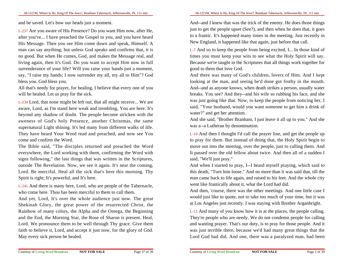and be saved. Let's bow our heads just a moment.

L-237 Are you aware of His Presence? Do you want Him now, after He,after you've... I have preached the Gospel to you, and you have heard His Message. Then you see Him come down and speak, Himself. A man can say anything; but unless God speaks and confirms that, it is no good. But when He comes, God, and makes the Message real, and living again, then it's God. Do you want to accept Him now in fullsurrenderance of your life? Will you raise your hands just a moment,say, "I raise my hands; I now surrender my all, my all to Him"? Godbless you. God bless you.

All that's needy for prayer, for healing, I believe that every one of youwill be healed. Let us pray for the sick.

L-239 Lord, that none might be left out, that all might receive... We are aware, Lord, as I'm stand here weak and trembling, You are here. It's beyond any shadow of doubt. The people become stricken with the aweness of God's holy Presence, another Christmas, the same supernatural Light shining. It's led many from different walks of life.They have heard Your Word read and preached, and now see Youcome and confirm the Word.

The Bible said, "The disciples returned and preached the Word everywhere, the Lord working with them, confirming the Word with signs following," the last things that was written in the Scriptures,outside The Revelation. Now, we see it again. It's near the coming,Lord. Be merciful. Heal all the sick that's here this morning. ThySpirit is right; It's powerful, and It's here.

L-241 And there is many here, Lord, who are people of the Tabernacle,who come here. Thou has been merciful to them to call them.

And yet, Lord, It's over the whole audience just now. The greatShekinah Glory, the great power of the resurrected Christ, the Rainbow of many colors, the Alpha and the Omega, the Beginning and the End, the Morning Star, the Rose of Sharon is present. Heal,Lord. We pronounce them to be well through Thy grace. Give them faith to believe it, Lord, and accept it just now, for the glory of God.May every sick person be healed.

And--and I knew that was the trick of the enemy. He does those things just to get the people upset (See?), and then when he does that, it goes to a frantic. It's happened many times in the meeting. Just recently inNew England, it happened like that again, just before that call.

L-7 And so to keep the people from being excited, I... In those kind oftimes you must keep your wits to see what the Holy Spirit will say.Because we're taught in the Scriptures that all things work together forgood to them that love God.

And there was many of God's children, lovers of Him. And I keptlooking at the man, and seeing he'd done got frothy in the mouth.And--and as anyone knows, when death strikes a person, usually waterbreaks. You see? And they--and his wife so rubbing his face, and she was just going like that. Now, to keep the people from noticing her, Isaid, "Your husband, would you want someone to get him a drink ofwater?" and get her attention.

And she said, "Brother Branham, I just leave it all up to you." And shewas a--a Lutheran by denomination.

L-10 And then I thought I'd call the prayer line, and get the people up to pray for them. But instead of doing that, the Holy Spirit begin to move out into the meeting, over the people, just to calling them. And It passed over the old fellow about twice. And then all of a sudden Isaid, "We'll just pray."

And when I started to pray, I--I heard myself praying, which said to this death, "Turn him loose." And no more than it was said that, till the man came back to life again, and raised to his feet. And the whole citywent like frantically about it, what the Lord had did.

And then, 'course, there was the other meetings. And one little case Iwould just like to quote, not to take too much of your time, but it wasat Los Angeles just recently. I was staying with Brother Arganbright.

L-13 And many of you know how it is at the places, the people calling.They're people who are needy. We do not condemn people for calling and wanting prayer. That's our duty, is to pray for those people. And itwas just terrible there, because we'd had many great things that theLord God had did. And one, there was a paralyzed man, had been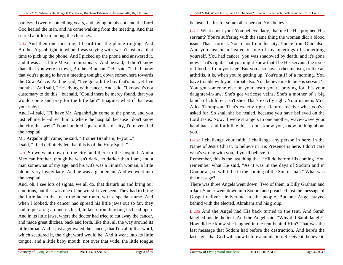paralyzed twenty-something years, and laying on his cot, and the Lord God healed the man, and he came walking from the meeting. And thatstarted a little stir among the churches.

L-14 And then one morning, I heard the--the phone ringing. And Brother Arganbright, to whom I was staying with, wasn't just in at thattime to pick up the phone. And I picked up the phone and answered it,and it was a--a little Mexican missionary. And he said, "I didn't know that--that you were in town, Brother Branham." He said, "I--I--I know that you're going to have a meeting tonight, down somewhere towards the Cow Palace. And he said, "I've got a little boy that's not yet five months." And said, "He's dying with cancer. And said, "I know it's notcustomary to do this." but said, "Could there be mercy found, that you would come and pray for the little lad?" Imagine, what if that wasyour baby?

 And I--I said, "I'll have Mr. Arganbright come to the phone, and you just tell me, let--direct him to where the hospital, because I don't know the city that well." Four hundred square miles of city, I'd never findthe hospital.

Mr. Arganbright came; he said, "Brother Branham, I--you..."I said, "I feel definitely led that this is of the Holy Spirit."

L-16 So we went down to the city, and there to the hospital. And a Mexican brother, though he wasn't dark, no darker than I am, and a man somewhat of my age, and his wife was a Finnish woman, a little blond, very lovely lady. And he was a gentleman. And we went intothe hospital.

And, oh, I see lots of sights, we all do, that disturb us and bring ouremotions, but that was one of the worst I ever seen. They had to bring the little lad to the--near the nurse room, with a special nurse. And when I looked, the cancer had spread his little jaws out so far, they had to put a rag around its head, to keep from bursting its head open.And in its little jaws, where the doctor had tried to cut away the cancer,and made great ditches, back and forth, like this, all the way around itslittle throat. And it just aggravated the cancer, that I'd call it that word,which scattered it, the right word would be. And it went into its littletongue, and a little baby mouth, not over that wide, the little tongue

be healed... It's for some other person. You believe.

L-230 What about you? You believe, lady, that me be His prophet, His servant? You're suffering with the same thing the woman did: a blood issue. That's correct. You're not from this city. You're from Ohio also.And you just been healed in one of my meetings of something yourself. You had cancer; you was shadowed by death, and it's gone now. That's right. That you might know that I be His servant, the issue of blood is from your age. But you also have a rheumatism, or like an arthritis, it is, when you're getting up. You're stiff of a morning. You have trouble with your throat also. You believe me to be His servant? You got someone else on your heart you're praying for. It's yourdaughter-in-law. She's got varicose veins. She's a mother of a big bunch of children, isn't she? That's exactly right. Your name is Mrs.Alice Thompson. That's exactly right. Return, receive what you've asked for. So shall she be healed, because you have believed on the Lord Jesus. Now, if we're strangers to one another, wave--wave yourhand back and forth like this. I don't know you, know nothing aboutyou.

L-232 I challenge your faith. I challenge any person in here, in theName of Jesus Christ, to believe in His Presence is here. I don't carewhat's wrong with you, if you'll believe It...

Remember, this is the last thing that He'll do before His coming. You remember what He said, "As it was in the days of Sodom and in Gomorrah, so will it be in the coming of the Son of man." What wasthe message?

 There was three Angels went down. Two of them, a Billy Graham and a Jack Shuler went down into Sodom and preached just the message ofGospel deliver--deliverance to the people. But one Angel stayedbehind with the elected, Abraham and his group.

L-235 And the Angel had His back turned to the tent. And Sarah laughed inside the tent. And the Angel said, "Why did Sarah laugh?" How did He know she laughed in the tent behind Him? That was the last message that Sodom had before the destruction. And here's thelast signs that God will show before annihilation. Receive it; believe it,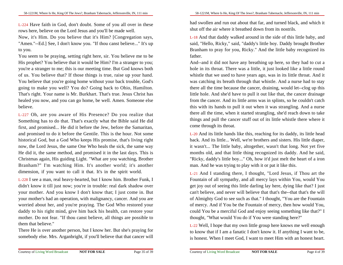L-224 Have faith in God, don't doubt. Some of you all over in theserows here, believe on the Lord Jesus and you'll be made well.

Now, it's Him. Do you believe that it's Him? [Congregation says,"Amen."--Ed.] See, I don't know you. "If thou canst believe..." It's upto you.

You seem to be praying, setting right here, sir. You believe me to be His prophet? You believe that it would be Him? I'm a stranger to you;you're a stranger to me; this is our meeting time. But God knows both of us. You believe that? If those things is true, raise up your hand.You believe that you're going home without your back trouble, God's going to make you well? You do? Going back to Ohio, Hamilton.That's right. Your name is Mr. Burkhart. That's true. Jesus Christ hashealed you now, and you can go home, be well. Amen. Someone elsebelieve.

L-227 Oh, are you aware of His Presence? Do you realize thatSomething has to do that. That's exactly what the Bible said He did first, and promised... He did it before the Jew, before the Samaritan,and promised to do it before the Gentile. This is the hour. Not some historical God, but a God Who keeps His promise, that's living rightnow, the Lord Jesus, the same One Who heals the sick, the same way He did it, the same method, and promised it in the last days. This is Christmas again, His guiding Light. "What are you watching, BrotherBranham?" I'm watching Him. It's another world; it's anotherdimension, if you want to call it that. It's in the spirit world.

L-228 I see a man, real heavy-hearted, but I know him. Brother Funk, Ididn't know it till just now; you're in trouble: real dark shadow overyour mother. And you know I don't know that; I just come in. Butyour mother's had an operation, with malignancy, cancer. And you are worried about her, and you're praying. The God Who restored yourdaddy to his right mind, give him back his health, can restore yourmother. Do not fear. "If thou canst believe, all things are possible tothem that believe."

There He is over another person, but I know her. But she's praying forsomebody else. Mrs. Arganbright, if you'll believe that that cancer will

58-1221M, Where Is He, King Of The Jews?, Branham Tabernacle, Jeffersonville, IN, 111 min

had swollen and run out about that far, and turned black, and which itshut off the air where it breathed down from its nostrils.

L-18 And that daddy walked around in the side of this little baby, and said, "Hello, Ricky," said, "daddy's little boy. Daddy brought BrotherBranham to pray for you, Ricky." And the little baby recognized itsfather.

And--and it did not have any breathing up here, so they had to cut a hole in its throat. There was a little, it just looked like a little round whistle that we used to have years ago, was in its little throat. And itwas catching its breath through that whistle. And a nurse had to stay there all the time because the cancer, draining, would let--clog up this little hole. And she'd have to pull it out like that, the cancer drainage from the cancer. And its little arms was in splints, so he couldn't catch this with its hands to pull it out when it was strangling. And a nurse there all the time, when it started strangling, she'd reach down to take things and pull the cancer stuff out of its little whistle there where itcome through its throat.

L-20 And its little hands like this, reaching for its daddy, its little head back. And its little... Well, we're brothers and sisters. His little diaper,it wasn't... The little baby, altogether, wasn't that long. Not yet five months old, and that little thing recognized its daddy. And he said,"Ricky, daddy's little boy..." Oh, how it'd just melt the heart of a ironman. And he was trying to play with it or pat it like this.

L-21 And I standing there, I thought, "Lord Jesus, if Thou art the Fountain of all sympathy, and all mercy lays within You, would You get joy out of seeing this little darling lay here, dying like that? I justcan't believe, and never will believe that that's the--that that's the willof Almighty God to see such as that." I thought, "You are the Fountain of mercy. And if You be the Fountain of mercy, then how would You,could You be a merciful God and enjoy seeing something like that?" Ithought, "What would You do if You were standing here?"

L-22 Well, I hope that my own little group here knows me well enough to know that if I am a fanatic I don't know it. If anything I want to be,is honest. When I meet God, I want to meet Him with an honest heart.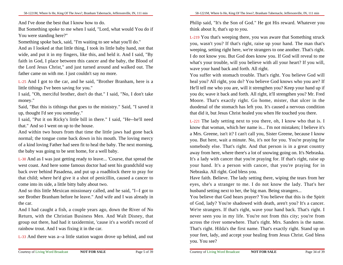And I've done the best that I know how to do.

But Something spoke to me when I said, "Lord, what would You do ifYou were standing here?"

Something spoke back, said, "I'm waiting to see what you'll do."

 And as I looked at that little thing, I took its little baby hand, not thatwide, and put it in my fingers, like this, and held it. And I said, "By faith in God, I place between this cancer and the baby, the Blood ofthe Lord Jesus Christ," and just turned around and walked out. Thefather came on with me. I just couldn't say no more.

L-25 And I got to the car, and he said, "Brother Branham, here is alittle tithings I've been saving for you."

 I said, "Oh, merciful brother, don't do that." I said, "No, I don't takemoney."

Said, "But this is tithings that goes to the ministry." Said, "I saved itup, thought I'd see you someday."

 I said, "Put it on Ricky's little bill in there." I said, "He--he'll needthat." And so I went on up to the house.

And within two hours from that time the little jaws had gone back normal; the tongue come back down in his mouth. The loving mercy of a kind loving Father had seen fit to heal the baby. The next morning,the baby was going to be sent home, for a well baby.

L-30 And as I was just getting ready to leave... 'Course, that spread the west coast. And here some famous doctor had sent his grandchild way back over behind Pasadena, and put up a roadblock there to pray forthat child; where he'd give it a shot of penicillin, caused a cancer tocome into its side, a little bitty baby about two.

And so this little Mexican missionary called, and he said, "I--I got to see Brother Branham before he leave." And wife and I was already inthe car.

And I had caught a fish, a couple years ago, down the River of No Return, with the Christian Business Men. And Walt Disney, thatgroup out there, had had it taxidermist, 'cause it's a world's record ofrainbow trout. And I was fixing it in the car.

L-33 And there was a--a little station wagon drove up behind, and out

Philip said, "It's the Son of God." He got His reward. Whatever youthink about It, that's up to you.

L-219 You that's weeping there, you was aware that Something struck you, wasn't you? If that's right, raise up your hand. The man that's weeping, setting right here, we're strangers to one another. That's right.I do not know you. But God does know you. If God will reveal to me what's your trouble, will you believe with all your heart? If you will,wave your hand back and forth. All right.

You suffer with stomach trouble. That's right. You believe God willheal you? All right, you do? You believe God knows who you are? IfHe'll tell me who you are, will it strengthen you? Keep your hand up ifyou do; wave it back and forth. All right, it'll strengthen you? Mr. Fred Moore. That's exactly right. Go home, mister, that ulcer in the duodenal of the stomach has left you. It's caused a nervous conditionthat did it, but Jesus Christ healed you when He touched you there.

L-221 The lady setting next to you there, oh, I know who that is. Iknow that woman, which her name is... I'm not mistaken; I believe it's a Mrs. Greene, isn't it? I can't call you, Sister Greene, because I know you. But here, wait a minute. No, it's not for you. You're praying forsomebody else. That's right. And that person is in a great country away from here, where there's a lot of snowing going on. It's Nebraska.It's a lady with cancer that you're praying for. If that's right, raise up your hand. It's a person with cancer, that you're praying for inNebraska. All right. God bless you.

Have faith. Believe. The lady setting there, wiping the tears from hereyes, she's a stranger to me. I do not know the lady. That's herhusband setting next to her, the big man. Being strangers...

You believe that God hears prayer? You believe that this is the Spiritof God, lady? You're shadowed with death, aren't you? It's a cancer.We're strangers. If that's right, wave your hand back. That's right. Inever seen you in my life. You're not from this city; you're from across the river somewhere. That's right. Mrs. Sanders is the name.That's right. Hilda's the first name. That's exactly right. Stand up on your feet, lady, and accept your healing from Jesus Christ. God blessyou. You see?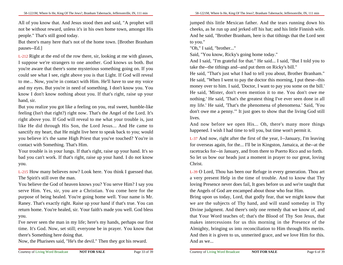All of you know that. And Jesus stood then and said, "A prophet willnot be without reward, unless it's in his own home town, amongst Hispeople." That's still good today.

But there's many here that's not of the home town. [Brother Branhampauses--Ed.]

L-212 Right at the end of the row there, sir, looking at me with glasses,I suppose we're strangers to one another. God knows us both. Butyou're aware that there's some mysterious something going on. If you could see what I see, right above you is that Light. If God will revealto me... Now, you're in contact with Him. He'll have to use my voice and my eyes. But you're in need of something. I don't know you. You know I don't know nothing about you. If that's right, raise up yourhand, sir.

But you realize you got like a feeling on you, real sweet, humble-like feeling (Isn't that right?) right now. That's the Angel of the Lord. It's right above you. If God will reveal to me what your trouble is, justlike He did through His Son, the Lord Jesus... And He came to sanctify my heart, that He might live here to speak back to you; would you believe it's the same High Priest that you've touched? You're incontact with Something. That's Him.

Your trouble is in your lungs. If that's right, raise up your hand. It's so bad you can't work. If that's right, raise up your hand. I do not knowyou.

L-215 How many believes now? Look here. You think I guessed that.The Spirit's still over the man.

You believe the God of heaven knows you? You serve Him? I say you serve Him. Yes, sir, you are a Christian. You come here for thepurpose of being healed. You're going home well. Your name is Mr.Raney. That's exactly right. Raise up your hand if that's true. You can return home. You're healed, sir. Your faith's made you well. God blessyou.

I've never seen the man in my life; here's my hands, perhaps our firsttime. It's God. Now, set still; everyone be in prayer. You know thatthere's Something here doing that.

Now, the Pharisees said, "He's the devil." Then they got his reward.

jumped this little Mexican father. And the tears running down his cheeks, as he run up and jerked off his hat; and his little Finnish wife.And he said, "Brother Branham, here is that tithings that the Lord sentto you."

"Oh," I said, "brother..."

Said, "You know, Ricky's going home today."

 And I said, "I'm grateful for that." He said... I said, "But I told you totake the--the tithings and--and put them on Ricky's bill."

 He said, "That's just what I had to tell you about, Brother Branham." He said, "When I went to pay the doctor this morning, I put these--thismoney over to him. I said, 'Doctor, I want to pay you some on the bill.' He said, 'Mister, don't even mention it to me. You don't owe me nothing.' He said, 'That's the greatest thing I've ever seen done in allmy life.' He said, 'That's the phenomena of phenomena.' Said, 'You don't owe me a penny.'" It just goes to show that the living God stilllives.

And now before we open His... Oh, there's many more thingshappened. I wish I had time to tell you, but time won't permit it.

L-37 And now, right after the first of the year, I--January, I'm leaving for overseas again, for the... I'll be in Kingston, Jamaica, at the--at the racetracks for--in January, and from there to Puerto Rico and so forth.So let us bow our heads just a moment in prayer to our great, lovingChrist.

L-39 O Lord, Thou has been our Refuge in every generation. Thou arta very present Help in the time of trouble. And to know that Thy loving Presence never does fail, It goes before us and we're taught thatthe Angels of God are encamped about those who fear Him.

Bring upon us today, Lord, that godly fear, that we might know thatwe are the subjects of Thy hand, and will stand someday in Thy Divine judgment. And there's only one remedy that we know of, and that Your Word teaches of; that's the Blood of Thy Son Jesus, thatmakes intercessions for us this morning in the Presence of the Almighty, bringing us into reconciliation to Him through His merits.And then it is given to us, unmerited grace, and we love Him for this.And as we...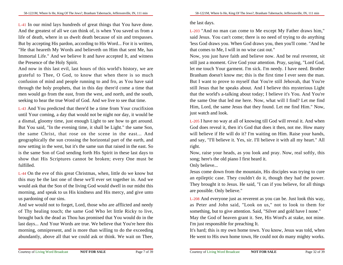L-41 In our mind lays hundreds of great things that You have done.And the greatest of all we can think of, is when You saved us from a life of death, where in us dwelt death because of sin and trespasses.But by accepting His pardon, according to His Word... For it is written,"He that heareth My Words and believeth on Him that sent Me, has Immortal Life." And we believe It and have accepted It, and witnessthe Presence of the Holy Spirit.

And now in this last evil, last hours of this world's history, we are grateful to Thee, O God, to know that when there is so much confusion of mind and people running to and fro, as You have said through the holy prophets, that in this day there'd come a time thatmen would go from the east, from the west, and north, and the south,seeking to hear the true Word of God. And we live to see that time.

L-43 And You predicted that there'd be a time from Your crucifixion until Your coming, a day that would not be night nor day, it would be a dismal, gloomy time, just enough Light to see how to get around.But You said, "In the evening time, it shall be Light." the same Son,the same Christ, that rose on the scene in the east... And geographically the sun crossing the horizontal part of the earth, and now setting in the west, but it's the same sun that raised in the east. So is the same Son of God sending forth His Spirit in these last days to show that His Scriptures cannot be broken; every One must befulfilled.

L-44 On the eve of this great Christmas, when, little do we know butthis may be the last one of these we'll ever set together in. And we would ask that the Son of the living God would dwell in our midst thismorning, and speak to us His kindness and His mercy, and give untous pardoning of our sins.

And we would not to forget, Lord, those who are afflicted and needy of Thy healing touch; the same God Who let little Ricky to live,brought back the dead as Thou has promised that You would do in thelast days... And Your Words are true. We believe that You're here thismorning, omnipresent, and is more than willing to do the exceedingabundantly, above all that we could ask or think. We wait on Thee,

## the last days.

L-203 "And no man can come to Me except My Father draws him," said Jesus. You can't come; there is no need of trying to do anything 'less God draws you. When God draws you, then you'll come. "And hethat comes to Me, I will in no wise cast out."

 Now, you just have faith and believe now. And be real reverent, sitstill just a moment. Give God your attention. Pray, saying, "Lord God,let me touch Your garment. I'm sick. I'm needy. I have need. BrotherBranham doesn't know me; this is the first time I ever seen the man.But I want to prove to myself that You're still Jehovah, that You're still Jesus that he speaks about. And I believe this mysterious Lightthat the world's a-talking about today; I believe it's You. And You're the same One that led me here. Now, what will I find? Let me find Him, Lord, the same Jesus that they found. Let me find Him." Now,just watch and look.

L-205 I have no way at all of knowing till God will reveal it. And when God does reveal it, then it's God that does it then, not me. How many will believe if He will do it? I'm waiting on Him. Raise your hands,and say, "I'll believe it. Yes, sir. I'll believe it with all my heart." Allright.

Now, raise your heads, as you look and pray. Now, real softly, thissong; here's the old piano I first heard it.

Only believe...

Jesus come down from the mountain, His disciples was trying to cure an epileptic case. They couldn't do it, though they had the power.They brought it to Jesus. He said, "I can if you believe, for all thingsare possible. Only believe."

L-208 And everyone just as reverent as you can be. Just look this way,as Peter and John said, "Look on us," not to look to them forsomething, but to give attention. Said, "Silver and gold have I none." May the God of heaven grant it. See, His Word's at stake, not mine.I'm just responsible for preaching It.

It's hard; this is my own home town. You know, Jesus was told, whenHe went to His own home town, He could not do many mighty works.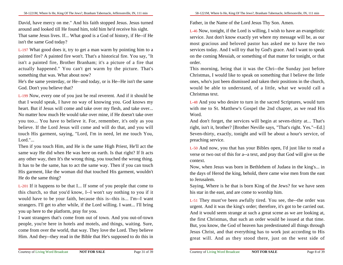David, have mercy on me." And his faith stopped Jesus. Jesus turnedaround and looked till He found him, told him he'd receive his sight.That same Jesus lives. If... What good is a God of history, if He--if Heisn't the same God today?

L-197 What good does it, try to get a man warm by pointing him to a painted fire? A painted fire won't. That's a historical fire. You say, "Itisn't a painted fire, Brother Branham; it's a picture of a fire thatactually happened." You can't get warm by the picture. That'ssomething that was. What about now?

 He's the same yesterday, or He--and today, or is He--He isn't the sameGod. Don't you believe that?

L-199 Now, every one of you just be real reverent. And if it should be that I would speak, I have no way of knowing you. God knows my heart. But if Jesus will come and take over my flesh, and take over...No matter how much He would take over mine, if He doesn't take overyou too... You have to believe it. For, remember, it's only as you believe. If the Lord Jesus will come and will do that, and you willtouch His garment, saying, "Lord, I'm in need, let me touch You,Lord."...

Then if you touch Him, and He is the same High Priest, He'll act the same way He did when He was here on earth. Is that right? If It acts any other way, then It's the wrong thing, you touched the wrong thing.It has to be the same, has to act the same way. Then if you can touch His garment, like the woman did that touched His garment, wouldn'tHe do the same thing?

L-201 If it happens to be that I... If some of you people that come to this church, so that you'd know, I--I won't say nothing to you if itwould have to be your faith, because this is--this is... I'm--I wantstrangers. I'll get to after while, if the Lord willing. I want... I'll bringyou up here to the platform, pray for you.

I want strangers that's come from out of town. And you out-of-town people, you're here in hotels and motels, and things, waiting. Sure,come from over the world, that way. They love the Lord. They believeHim. And they--they read in the Bible that He's supposed to do this in

Father, in the Name of the Lord Jesus Thy Son. Amen.

L-46 Now, tonight, if the Lord is willing, I wish to have an evangelistic service. Just don't know exactly yet where my message will be, as our most gracious and beloved pastor has asked me to have the two services today. And I will try that by God's grace. And I want to speak on the coming Messiah, or something of that matter for tonight, or thatorder.

This morning, being that it was the Chri--the Sunday just before Christmas, I would like to speak on something that I believe the little ones, who's just been dismissed and taken their positions in the church,would be able to understand, of a little, what we would call aChristmas text.

L-48 And you who desire to turn in the sacred Scriptures, would turn with me to St. Matthew's Gospel the 2nd chapter, as we read HisWord.

And don't forget, the services will begin at seven-thirty at... That's right, isn't it, brother? [Brother Neville says, "That's right. Yes."--Ed.]Seven-thirty, exactly, tonight and will be about a hour's service, ofpreaching service.

L-50 And now, you that has your Bibles open, I'd just like to read a verse or two out of this for a--a text, and pray that God will give us thecontext.

Now, when Jesus was born in Bethlehem of Judaea in the king's... in the days of Herod the king, behold, there came wise men from the eastto Jerusalem.

Saying, Where is he that is born King of the Jews? for we have seenhis star in the east, and are come to worship him.

L-51 They must've been awfully tired. You see, the--the order was urgent. And it was the king's order; therefore, it's got to be carried out.And it would seem strange at such a great scene as we are looking at,the first Christmas, that such an order would be issued at that time.But, you know, the God of heaven has predestinated all things through Jesus Christ, and that everything has to work just according to Hisgreat will. And as they stood there, just on the west side of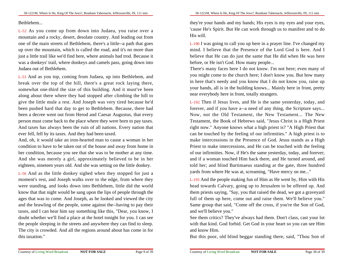#### **Bethlehem**

L-52 As you come up from down into Judaea, you raise over a mountain and a rocky, desert, desolate country. And leading out from one of the main streets of Bethlehem, there's a little--a path that goes up over the mountain, which is called the road, and it's no more than just a little trail like we'd find here, where animals had trod. Because itwas a donkeys' trail, where donkeys and camels pass, going down intoJudaea out of Bethlehem.

L-53 And as you top, coming from Judaea, up into Bethlehem, and break over the top of the hill, there's a great rock laying there,somewhat one-third the size of this building. And it must've been along about there where they had stopped after climbing the hill to give the little mule a rest. And Joseph was very tired because he'd been pushed hard that day to get to Bethlehem. Because, there had been a decree went out from Herod and Caesar Augustus, that every person must come back to the place where they were born to pay taxes.And taxes has always been the ruin of all nations. Every nation thatever fell, fell by its taxes. And they had been taxed.

And, oh, it would take an iron-hearted man to cause a woman in hercondition to have to be taken out of the house and away from home in her condition, because you see that she was to be mother at any time.And she was merely a girl, approximately believed to be in hereighteen, nineteen years old. And she was setting on the little donkey.

L-56 And as the little donkey sighed when they stopped for just a moment's rest, and Joseph walks over to the edge, from where they were standing, and looks down into Bethlehem, little did the world know that that night would be sang upon the lips of people through the ages that was to come. And Joseph, as he looked and viewed the city and the brawling of the people, some against the--having to pay theirtaxes, and I can hear him say something like this, "Dear, you know, Idoubt whether we'll find a place at the hotel tonight for you. I can see the people sleeping in the streets and anywhere they can find to sleep.The city is crowded. And all the regions around about has come in forthis taxation."

they're your hands and my hands; His eyes is my eyes and your eyes,'cause He's Spirit. But He can work through us to manifest and to doHis will.

L-190 I was going to call you up here in a prayer line. I've changed my mind. I believe that the Presence of the Lord God is here. And Ibelieve that He can do just the same that He did when He was herebefore, or He isn't God. How many people...

There's many faces here I do not know. I'm not here; even many ofyou might come to the church here; I don't know you. But how many in here that's needy and you know that I do not know you, raise up your hands, all is in the building knows... Mainly here in front, prettynear everybody here in front, totally strangers.

L-192 Then if Jesus lives, and He is the same yesterday, today, and forever, and if you have a--a need of any thing, the Scripture says...Now, not the Old Testament, the New Testament... The New Testament, the Book of Hebrews said, "Jesus Christ is a High Priestright now." Anyone knows what a high priest is? "A High Priest thatcan be touched by the feeling of our infirmities." A high priest is to make intercessions in the Presence of God. Jesus stands as a High Priest to make intercessions, and He can be touched with the feeling of our infirmities. Now, if He's the same yesterday, today, and forever;and if a woman touched Him back there, and He turned around, and told her; and blind Bartimaeus standing at the gate, three hundredyards from where He was at, screaming, "Have mercy on me..."

L-193 And the people making fun of Him as He went by, Him with His head towards Calvary, going up to Jerusalem to be offered up. And them priests saying, "Say, you that raised the dead, we got a graveyard full of them up here, come out and raise them. We'll believe you." Same group that said, "Come off the cross, if you're the Son of God,and we'll believe you."

 See them critics? They've always had them. Don't class, cast your lotwith that kind. God forbid. Get God in your heart so you can see Himand know Him.

But this poor, old blind beggar standing there, said, "Thou Son of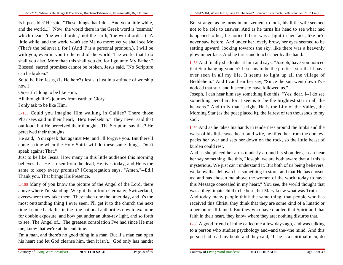Is it possible? He said, "These things that I do... And yet a little while,and the world..." (Now, the world there in the Greek word is 'cosmos,'which means 'the world order,' not the earth, 'the world order.') "A little while, and the world won't see Me no more; yet ye shall see Me (That's the believer.), for I (And 'I' is a personal pronoun.), I will be with you, even in you to the end of the world. The works that I do shall you also. More than this shall you do, for I go unto My Father." Blessed, sacred promises cannot be broken. Jesus said, "No Scripturecan be broken."

So to be like Jesus, (Is He here?) Jesus, (Just in a attitude of worshipnow.)

On earth I long to be like Him;

All through life's journey from earth to Glory

I only ask to be like Him.

L-185 Could you imagine Him walking in Galilee? There those Pharisees said in their heart, "He's Beelzebub." They never said thatout loud, but He perceived their thoughts. The Scripture say that? Heperceived their thoughts.

He said, "You speak that against Me, and I'll forgive you. But there'llcome a time when the Holy Spirit will do these same things. Don'tspeak against That."

 Just to be like Jesus. How many in this little audience this morning believes that He is risen from the dead, He lives today, and He is the same to keep every promise? [Congregation says, "Amen."--Ed.]Thank you. That brings His Presence.

L-188 Many of you know the picture of the Angel of the Lord, there above where I'm standing. We got them from Germany, Switzerland,everywhere they take them. They taken one the other day, and it's the most outstanding thing I ever seen. I'll get it to the church the nexttime I come back. It's in the--the national authorities now to examine for double exposure, and how put under an ultra-ray light, and so forth to see. The Angel of... The greatest consolation I've had since He metme, know that we're at the end time.

I'm a man, and there's no good thing in a man. But if a man can openhis heart and let God cleanse him, then it isn't... God only has hands;

But strange, as he turns in amazement to look, his little wife seemed not to be able to answer. And as he turns his head to see what had happened to her, he noticed there was a light in her face, like he'd never saw before. And under her lovely brow, her eyes seemed to be setting upward, looking towards the sky, like there was a heavenlyglow in her face. And he turns and touches her by the hand.

L-58 And finally she looks at him and says, "Joseph, have you noticed that Star hanging yonder? It seems to be the prettiest star that I have ever seen in all my life. It seems to light up all the village ofBethlehem." And I can hear her say, "Since the sun went down I'venoticed that star, and It seems to have followed us."

 Joseph, I can hear him say something like this, "Yes, dear, I--I do see something peculiar, for it seems to be the brightest star in all the heavens." And truly that is right. He is the Lily of the Valley, the Morning Star (as the poet placed it), the fairest of ten thousands to mysoul.

L-60 And as he takes his hands in tenderness around the limbs and the waist of his little sweetheart, and wife, he lifted her from the donkey,packs her over and sets her down on the rock, so the little beast ofburden could rest.

And as she placed her arms tenderly around his shoulders, I can hearher say something like this, "Joseph, we are both aware that all this is mysterious. We just can't understand it. But both of us being believers,we know that Jehovah has something in store, and that He has chosen us; and has chosen me above the women of the world today to have this Message concealed in my heart." You see, the world thought thatwas a illegitimate child to be born, but Mary knew what was Truth.

And today many people think the same thing, that people who has received this Christ, they think that they are some kind of a lunatic ora person of ill famed. But they who have cradled that Spirit and thatfaith in their heart, they know where they are; nothing disturbs that.

L-63 A good friend of mine called me a few days ago, and was talking to a person who studies psychology and--and the--the mind. And thisperson had read my book, and they said, "If he is a spiritual man, do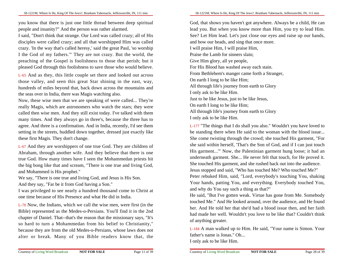you know that there is just one little thread between deep spiritualpeople and insanity?" And the person was rather alarmed.

I said, "Don't think that strange. Our Lord was called crazy; all of His disciples were called crazy; and all that worshipped Him was called crazy. 'In the way that's called heresy,' said the great Paul, 'so worship I the God of my fathers.'" They are not crazy. But the world, the preaching of the Gospel is foolishness to those that perish; but itpleased God through this foolishness to save those who would believe.

L-65 And as they, this little couple set there and looked out across those valley, and seen this great Star shining in the east, way,hundreds of miles beyond that, back down across the mountains andthe seas over in India, there was Magis watching also.

Now, these wise men that we are speaking of were called... They're really Magis, which are astronomers who watch the stars; they were called then wise men. And they still exist today. I've talked with them many times. And they always go in three's, because the three has to agree. And three is a confirmation. And in India, recently, I'd see them setting in the streets, huddled down together, dressed just exactly likethese first Magis. They don't change.

L-67 And they are worshippers of one true God. They are children ofAbraham, through another wife. And they believe that there is one true God. How many times have I seen the Mohammedan priests hitthe big bong like that and scream, "There is one true and living God,and Mohammed is His prophet."

 We say, "There is one true and living God, and Jesus is His Son.And they say, "Far be it from God having a Son."

 I was privileged to see nearly a hundred thousand come to Christ atone time because of His Presence and what He did in India.

L-70 Now, the Indians, which we call the wise men, were first (in the Bible) represented as the Medes-o-Persians. You'll find it in the 2nd chapter of Daniel. That--that's the reason that the missionary says, "It'sso hard to turn a Mohammedan from his belief to Christianity,"because they are from the old Medes-o-Persians, whose laws does notalter or break. Many of you Bible readers know that, the

God, that shows you haven't got anywhere. Always be a child, He can lead you. But when you know more than Him, you try to lead Him.See? Let Him lead. Let's just close our eyes and raise up our hands,and bow our heads, and sing that once more.I will praise Him, I will praise Him,Praise the Lamb for sinners slain;Give Him glory, all ye people,For His Blood has washed away each stain.From Bethlehem's manger came forth a Stranger,On earth I long to be like Him;All through life's journey from earth to GloryI only ask to be like Him.Just to be like Jesus, just to be like Jesus,On earth I long to be like Him;All through life's journey from earth to GloryI only ask to be like Him.

L-177 "The things that I do shall you also." Wouldn't you have loved to be standing there when He said to the woman with the blood issue...She come twisting through the crowd; she touched His garment, "Forshe said within herself, 'That's the Son of God, and if I can just touch His garment...'" Now, the Palestinian garment hung loose; it had an underneath garment. She... He never felt that touch, for He proved it.She touched His garment, and she rushed back out into the audience.Jesus stopped and said, "Who has touched Me? Who touched Me?"Peter rebuked Him, said, "Lord, everybody's touching You, shaking Your hands, patting You, and everything. Everybody touched You,and why do You say such a thing as that?"

He said, "But I've gotten weak. Virtue has gone from Me. Somebody touched Me." And He looked around, over the audience, and He found her. And He told her that she'd had a blood issue then, and her faith had made her well. Wouldn't you love to be like that? Couldn't thinkof anything greater.

L-184 A man walked up to Him. He said, "Your name is Simon. Yourfather's name is Jonas." Oh...I only ask to be like Him.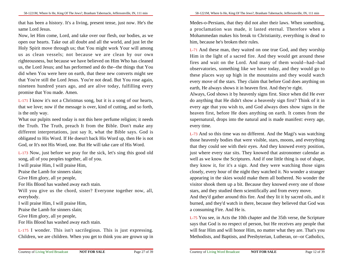that has been a history. It's a living, present tense, just now. He's thesame Lord Jesus.

Now, let Him come, Lord, and take over our flesh, our bodies, as we open our hearts. Take out all doubt and all the world, and just let the Holy Spirit move through us; that You might work Your will among us as clean vessels; not because we are clean by our own righteousness, but because we have believed on Him Who has cleaned us, the Lord Jesus; and has performed and do the--the things that You did when You were here on earth, that these new converts might see that You're still the Lord Jesus. You're not dead. But You rose again,nineteen hundred years ago, and are alive today, fulfilling everypromise that You made. Amen.

L-171 I know it's not a Christmas song, but it is a song of our hearts,that we love; now if the message is over, kind of cutting, and so forth,is the only way.

What our pulpits need today is not this here perfume religion; it needs the Truth. The Truth, preach It from the Bible. Don't make any different interpretations, just say It, what the Bible says. God is obligated to His Word. If He doesn't back His Word up, then He is notGod, or It's not His Word, one. But He will take care of His Word.

L-173 Now, just before we pray for the sick, let's sing this good oldsong, all of you peoples together, all of you.

I will praise Him, I will praise Him,

Praise the Lamb for sinners slain;

Give Him glory, all ye people,

For His Blood has washed away each stain.

Will you give us the chord, sister? Everyone together now, all, everybody.

I will praise Him, I will praise Him,

Praise the Lamb for sinners slain;

Give Him glory, all ye people,

For His Blood has washed away each stain.

L-175 I wonder. This isn't sacrilegious. This is just expressing.Children, we are children. When you get to think you are grown up in 58-1221M, Where Is He, King Of The Jews?, Branham Tabernacle, Jeffersonville, IN, 111 min

Medes-o-Persians, that they did not alter their laws. When something,a proclamation was made, it lasted eternal. Therefore when a Mohammedan makes his break to Christianity, everything is dead tohim, because he's broken their rules.

L-71 And these man, they waited on one true God, and they worship Him in the light of a sacred fire. And they would get around these fires and wait on the Lord. And many of them would--had--had observatories, something like we have today, and they would go to these places way up high in the mountains and they would watch every move of the stars. They claim that before God does anything onearth, He always shows it in heaven first. And they're right.

Always, God shows it by heavenly signs first. Since when did He everdo anything that He didn't show a heavenly sign first? Think of it in every age that you wish to, and God always does show signs in the heaven first, before He does anything on earth. It comes from the supernatural, drops into the natural and is made manifest: every age,every time.

L-73 And so this time was no different. And the Magi's was watching those heavenly bodies that were visible, stars, moons, and everything that they could see with their eyes. And they knowed every position,just where every star sits. They knowed that astronomer calendar as well as we know the Scriptures. And if one little thing is out of shape,they know it, for it's a sign. And they were watching those signs closely, every hour of the night they watched it. No wonder a strangerappearing in the skies would make them all bothered. No wonder the visitor shook them up a bit. Because they knowed every one of thosestars, and they studied them scientifically and from every move.

And they'd gather around this fire. And they lit it by sacred oils, and itburned, and they'd watch in there, because they believed that God wasa consuming Fire. And He is.

L-75 You see, in Acts the 10th chapter and the 35th verse, the Scripture says that God is no respect of person, but He receives any people thatwill fear Him and will honor Him, no matter what they are. That's youMethodists, and Baptists, and Presbyterian, Lutheran, or--or Catholics,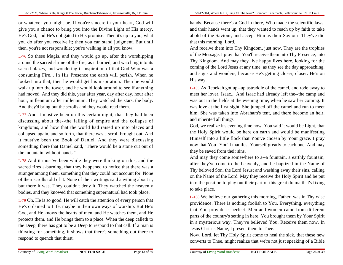or whatever you might be. If you're sincere in your heart, God willgive you a chance to bring you into the Divine Light of His mercy.He's God, and He's obligated to His promise. Then it's up to you, whatyou do after you receive it; then you can stand judgment. But untilthen, you're not responsible; you're walking in all you know.

L-76 So these Magis, and they would go up, after the worshipping around the sacred shrine of the fire, as it burned, and watching into its sacred blazes, and wondering if inspiration of that God Who was a consuming Fire... In His Presence the earth will perish. When he looked into that, then he would get his inspiration. Then he would walk up into the tower, and he would look around to see if anything had moved. And they did this, year after year, day after day, hour afterhour, millennium after millennium. They watched the stars, the body.And they'd bring out the scrolls and they would read them.

L-77 And it must've been on this certain night, that they had been discussing about the--the falling of empire and the collapse ofkingdoms, and how that the world had raised up into places and collapsed again, and so forth, that there was a scroll brought out. And it must've been the Book of Daniel. And they were discussing something there that Daniel said, "There would be a stone cut out ofthe mountain, without hands."

L-78 And it must've been while they were thinking on this, and the sacred fires a-burning, that they happened to notice that there was a stranger among them, something that they could not account for. None of their scrolls told of it. None of their writings said anything about it,but there it was. They couldn't deny it. They watched the heavenlybodies, and they knowed that something supernatural had took place.

L-79 Oh, He is so good. He will catch the attention of every person thatHe's ordained to Life, maybe in their own ways of worship. But He's God, and He knows the hearts of men, and He watches them, and He protects them, and He brings them to a place. When the deep calleth to the Deep, there has got to be a Deep to respond to that call. If a man is thirsting for something, it shows that there's something out there torespond to quench that thirst.

hands. Because there's a God in there, Who made the scientific laws,and their hands went up, that they wanted to reach up by faith to take ahold of the Saviour, and accept Him as their Saviour. They've didthat this morning, Lord.

And receive them into Thy Kingdom, just now. They are the trophies of the Message. I pray that You'll receive them into Thy Presence, into Thy Kingdom. And may they live happy lives here, looking for the coming of the Lord Jesus at any time, as they see the day approaching,and signs and wonders, because He's getting closer, closer. He's onHis way.

L-165 As Rebekah got up--up astraddle of the camel, and rode away to meet her lover, Isaac... And Isaac had already left the--the camp and was out in the fields at the evening time, when he saw her coming. Itwas love at the first sight. She jumped off the camel and run to meethim. She was taken into Abraham's tent, and there become an heir,and inherited all things.

God, we realize it's evening time now. You said it would be Light, thatthe Holy Spirit would be here on earth and would be manifesting Himself into a little flock that You've chosen by Your grace. I pray now that You--You'll manifest Yourself greatly to each one. And maythey be saved from their sins.

And may they come somewhere to a--a fountain, a earthly fountain,after they've come to the heavenly, and be baptized in the Name ofThy beloved Son, the Lord Jesus; and washing away their sins, calling on the Name of the Lord. May they receive the Holy Spirit and be putinto the position to play out their part of this great drama that's fixingto take place.

L-168 We believe our gathering this morning, Father, was in Thy wise providence. There is nothing foolish to You. Everything, everything that You provide is perfect. Men and women came from differentparts of the country's setting in here. You brought them by Your Spiritin a mysterious way. They've believed You. Receive them now. InJesus Christ's Name, I present them to Thee.

Now, Lord, let Thy Holy Spirit come to heal the sick, that these newconverts to Thee, might realize that we're not just speaking of a Bible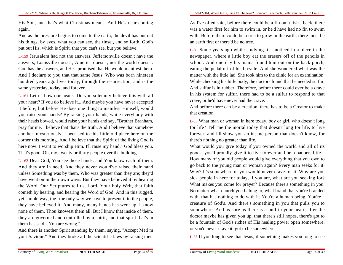His Son, and that's what Christmas means. And He's near comingagain.

And as the pressure begins to come to the earth, the devil has put outhis things, by eyes, what you can see, the tinsel, and so forth. God'sput out His, which is Spirit, that you can't see, but you believe.

L-159 Jerusalem had not the answers. Jeffersonville doesn't have the answers; Louisville doesn't; America doesn't; nor the world doesn't.God has the answers, and He's promised that He would manifest them.And I declare to you that that same Jesus, Who was born nineteen hundred years ago lives today, through the resurrection, and is thesame yesterday, today, and forever.

L-161 Let us bow our heads. Do you solemnly believe this with allyour heart? If you do believe it... And maybe you have never accepted it before, but before He does one thing to manifest Himself, would you raise your hands? By raising your hands, while everybody with their heads bowed, would raise your hands and say, "Brother Branham,pray for me. I believe that that's the truth. And I believe that somehow another, mysteriously, I been led to this little old place here on the corner this morning. And I believe that the Spirit of the living God is here now. I want to worship Him. I'll raise my hand." God bless you.That's good. Oh, my, twenty or thirty people over the building.

L-162 Dear God, You see those hands, and You know each of them.And they are in need. And they never would've raised their hand unless Something was by them, Who was greater than they are; they'd have went on in their own ways. But they have believed it by hearing the Word. Our Scriptures tell us, Lord, Your holy Writ, that faith cometh by hearing, and hearing the Word of God. And in this rugged,yet simple way, the--the only way we have to present it to the people,they have believed it. And many, many hands has went up. I know none of them. Thou knowest them all. But I know that inside of them,they are governed and controlled by a spirit, and that spirit that's inthem has said, "You are wrong."

 And there is another Spirit standing by them, saying, "Accept Me;I'myour Saviour." And they broke all the scientific laws by raising their As I've often said, before there could be a fin on a fish's back, there was a water first for him to swim in, or he'd have had no fin to swim with. Before there could be a tree to grow in the earth, there must bean earth first or there'd be no tree.

L-81 Some years ago while studying it, I noticed in a piece in the newspaper, where a little boy eat the erasers off of the pencils in school. And one day his mama found him out on the back porch,eating the pedal off of his bicycle. And she wondered what was the matter with the little lad. She took him to the clinic for an examination.While checking his little body, the doctors found that he needed sulfur.And sulfur is in rubber. Therefore, before there could ever be a crave in his system for sulfur, there had to be a sulfur to respond to thatcrave, or he'd have never had the crave.

And before there can be a creation, there has to be a Creator to makethat creation.

L-83 What man or woman in here today, boy or girl, who doesn't long for life? Tell me the mortal today that doesn't long for life, to live forever, and I'll show you an insane person that doesn't know, forthere's nothing no greater than life.

What would you give today if you owned the world and all of its goods, you'd proudly give it to live forever and be a pauper. Life...How many of you old people would give everything that you own to go back to the young man or woman again? Every man seeks for it.Why? It's somewhere or you would never crave for it. Why are you sick people in here for today, if you are, what are you seeking for? What makes you come for prayer? Because there's something in you.No matter what church you belong to, what brand that you're branded with, that has nothing to do with it. You're a human being. You're a creature of God's. And there's something in you that pulls you to somewhere. And as sure as there is a pull in your heart, after the doctor maybe has given you up, that there's still hopes, there's got to be a fountain of God's riches of His healing power open somewhere,or you'd never crave it: got to be somewhere.

L-85 If you long to see that Jesus, if something makes you long to see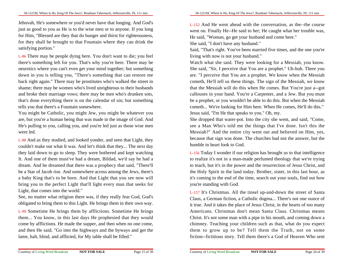Jehovah, He's somewhere or you'd never have that longing. And God's just as good to you as He is to the wise men or to anyone. If you long for Him, "Blessed are they that do hunger and thirst for righteousness,for they shall be brought to that Fountain where they can drink thesatisfying portion."

L-86 There may be people dying here. You don't want to die; you feelthere's something left for you. That's why you're here. There may be neurotics where you can't even get your mind together; but something down in you is telling you, "There's something that can restore me back right again." There may be prostitutes who's walked the street in shame; there may be women who's lived unrighteous to their husbands and broke their marriage vows; there may be men who's drunken sots,that's done everything there is on the calendar of sin; but somethingtells you that there's a Fountain somewhere.

You might be Catholic, you might Jew, you might be whatever you are, but you're a human being that was made in the image of God. And He's pulling to you, calling you, and you're led just as those wise menwere led.

L-88 And as they studied, and looked yonder, and seen that Light, they couldn't make out what It was. And let's think that they... The next day they laid down to go to sleep. They were bothered and kept watching It. And one of them must've had a dream, Bildad, we'd say he had a dream. And he dreamed that there was a prophecy that said, "There'llbe a Star of Jacob rise. And somewhere across among the Jews, there's a baby King that's to be born. And that Light that you see now willbring you to the perfect Light that'll light every man that seeks forLight, that comes into the world."

See, no matter what religion there was, if they really fear God, God'sobligated to bring them to this Light. He brings them in their own way.

L-90 Sometime He brings them by afflictions. Sometime He brings them... You know, in this last days He prophesied that they would come by afflictions. He made the supper, and then when no one come,and then He said, "Go into the highways and the byways and get thelame, halt, blind, and afflicted, for My table shall be filled."

L-152 And He went ahead with the conversation, as the--the course went on. Finally He--He said to her; He caught what her trouble was,He said, "Woman, go get your husband and come here."

She said, "I don't have any husband."

 Said, "That's right. You've been married five times, and the one you'reliving with now is not your husband."

 Watch what she said. They were looking for a Messiah, you know.She said, "Sir, I perceive that You are a prophet." Uh-huh. There you are. "I perceive that You are a prophet. We know when the Messiah cometh, He'll tell us these things. The sign of the Messiah, we know that the Messiah will do this when He comes. But You're just a--gotcallouses in your hand. You're a Carpenter, and a Jew. But you mustbe a prophet, or you wouldn't be able to do this. But when the Messiah cometh... We're looking for Him here. When He comes, He'll do this."Jesus said, "I'm He that speaks to you." Oh, my.

She dropped that water-pot. Into the city she went, and said, "Come,see a Man Who's told me the things that I've done. Isn't this the Messiah?" And the entire city went out and believed on Him, yes,because that sign was done. The churches had not the answer, but thehumble in heart look to God.

L-156 Today I wonder if our religion has brought us to that intelligence to realize it's not in a man-made perfumed theology that we're trying to teach, but it's in the power and the resurrection of Jesus Christ, and the Holy Spirit in the land today. Brother, sister, in this last hour, as it's coming to the end of the time, search out your souls, find out howyou're standing with God.

L-157 It's Christmas. All the tinsel up-and-down the street of Santa Claus, a German fiction, a Catholic dogma... There's not one ounce ofit true. And it takes the place of Jesus Christ, in the hearts of too many Americans. Christmas don't mean Santa Claus. Christmas means Christ. It's not some man with a pipe in his mouth, and coming down achimney. Teaching your children such as that, what do you expectthem to grow up to be? Tell them the Truth, not on somefiction--fictitious story. Tell them there's a God of Heaven Who sent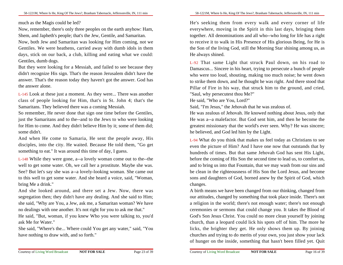much as the Magis could be led?

 Now, remember, there's only three peoples on the earth anyhow: Ham,Shem, and Japheth's people; that's the Jew, Gentile, and Samaritan.

Now, both Jew and Samaritan was looking for Him coming, not we Gentiles. We were heathens, carried away with dumb idols in them days, stick on our back, a club, killing and eating what we could:Gentiles, dumb dogs.

But they were looking for a Messiah, and failed to see because they didn't recognize His sign. That's the reason Jerusalem didn't have the answer. That's the reason today they haven't got the answer. God hasthe answer alone.

L-145 Look at these just a moment. As they were... There was anotherclass of people looking for Him, that's in St. John 4; that's theSamaritans. They believed there was a coming Messiah.

So remember, He never done that sign one time before the Gentiles,just the Samaritans and to the--and to the Jews to who were looking for Him to come. And they didn't believe Him by it; some of them did;some didn't.

And when He come to Samaria, He sent the people away, His disciples, into the city. He waited. Because He told them, "Go getsomething to eat." It was around this time of day, I guess.

L-148 While they were gone, a--a lovely woman come out to the--the well to get some water. Oh, we call her a prostitute. Maybe she was.See? But let's say she was a--a lovely-looking woman. She came outto this well to get some water. And she heard a voice, said, "Woman,bring Me a drink."

And she looked around, and there set a Jew. Now, there wassegregation then; they didn't have any dealing. And she said to Him;she said, "Why are You, a Jew, ask me, a Samaritan woman? We haveno dealings with one another. It's not right for you to ask me that."

 He said, "But, woman, if you knew Who you were talking to, you'dask Me for Water."

 She said, "Where's the... Where could You get any water," said, "Youhave nothing to draw with, and so forth."

He's seeking them from every walk and every corner of life everywhere, moving in the Spirit in this last days, bringing them together. All denominations and all who--who long for life has a rightto receive it to walk in His Presence of His glorious Being, for He isthe Son of the living God, still the Morning Star shining among us, asHe always shined.

L-92 That same Light that struck Paul down, on his road to Damascus... Sincere in his heart, trying to persecute a bunch of people who were too loud, shouting, making too much noise; he went down to strike them down, and he thought he was right. And there stood thatPillar of Fire in his way, that struck him to the ground, and cried,"Saul, why persecutest thou Me?"

He said, "Who are You, Lord?"

Said, "I'm Jesus," the Jehovah that he was zealous of.

He was zealous of Jehovah. He knowed nothing about Jesus, only thatHe was a--a malefactor. But God sent him, and then he become the greatest missionary that the world's ever seen. Why? He was sincere;he believed, and God led him by the Light.

L-94 What do you think that makes us feel today as Christians to see even the picture of Him? And I have one now that outstands that by hundreds of times. But that same Jehovah God has sent His Light,before the coming of His Son the second time to lead us, to comfort us,and to bring us into that Fountain, that we may wash from our sins and be clean in the righteousness of His Son the Lord Jesus, and become sons and daughters of God, borned anew by the Spirit of God, whichchanges.

A birth means we have been changed from our thinking, changed from our attitudes, changed by something that took place inside. There's nota religion in the world; there's not enough water; there's not enough ceremonies or sermons that could change you. It takes the Blood ofGod's Son Jesus Christ. You could no more clean yourself by joining church, than a leopard could lick his spots off of him. The more he licks, the brighter they get. He only shows them up. By joining churches and trying to do merits of your own, you just show your lackof hunger on the inside, something that hasn't been filled yet. Quit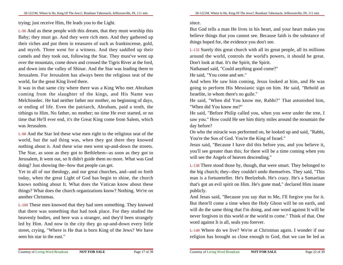trying; just receive Him, He leads you to the Light.

L-96 And as these people with this dream, that they must worship this Baby; they must go. And they were rich men. And they gathered up their riches and put them in treasures of such as frankincense, gold,and myrrh. Three went for a witness. And they saddled up theircamels and they took out, following the Star. They must've went up over the mountain, come down and crossed the Tigris River at the ford,and down into the valley of Shinar. And the Star was leading them to Jerusalem. For Jerusalem has always been the religious seat of theworld, for the great King lived there.

It was in that same city where there was a King Who met Abraham coming from the slaughter of the kings, and His Name was Melchisedec. He had neither father nor mother, no beginning of days,or ending of life. Even the patriarch, Abraham, paid a tenth, the tithings to Him. No father, no mother; no time He ever started, or no time that He'll ever end, it's the Great King come from Salem, whichwas Jerusalem.

L-98 And the Star led these wise men right to the religious seat of the world, but the sad thing was, when they got there they knowed nothing about it. And these wise men went up-and-down the streets.The Star, as soon as they got to Bethlehem--as soon as they got to Jerusalem, It went out, so It didn't guide them no more. What was Goddoing? Just showing the--how that people can get.

Yet in all of our theology, and our great churches, and--and so forth today, when the great Light of God has begin to shine, the church knows nothing about It. What does the Vatican know about these things? What does the church organizations know? Nothing. We're onanother Christmas.

L-100 These men knowed that they had seen something. They knowed that there was something that had took place. For they studied the heavenly bodies, and here was a stranger, and they'd been strangely led by Him. And now in the city they go up-and-down every little street, crying, "Where is He that is born King of the Jews? We haveseen his star in the east."

### since.

But God tells a man He lives in his heart, and your heart makes you believe things that you cannot see. Because faith is the substance ofthings hoped for, the evidence you don't see.

L-132 Surely this great church with all its great people, all its millions around the world, controls the world's powers, it should be great.Don't look at that. It's the Spirit, the Spirit.

Nathanael said, "Could anything good come?"

He said, "You come and see."

 And when He saw him coming, Jesus looked at him, and He was going to perform His Messianic sign on him. He said, "Behold anIsraelite, in whom there's no guile."

He said, "When did You know me, Rabbi?" That astonished him,"When did You know me?"

 He said, "Before Philip called you, when you were under the tree, Isaw you." How could He see him thirty miles around the mountain theday before?

 On who the miracle was performed on, he looked up and said, "Rabbi,You're the Son of God. You're the King of Israel."

 Jesus said, "Because I have did this before you, and you believe it,you'll see greater than this; for there will be a time coming when youwill see the Angels of heaven descending."

L-138 There stood those by, though, that were smart. They belonged to the big church; they--they couldn't undo themselves. They said, "This man is a fortuneteller. He's Beelzebub. He's crazy. He's a Samaritan that's got an evil spirit on Him. He's gone mad," declared Him insanepublicly.

And Jesus said, "Because you say that to Me, I'll forgive you for it.But there'll come a time when the Holy Ghost will be on earth, and will do the same thing that I'm doing, and one word against It will be never forgiven in this world or the world to come." Think of that. Oneword against It is all, seals you forever.

L-140 Where do we live? We're at Christmas again. I wonder if ourreligion has brought us close enough to God, that we can be led as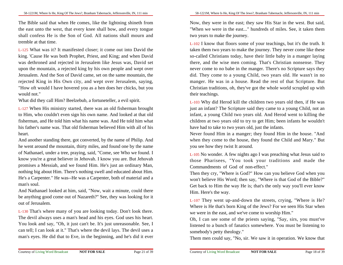The Bible said that when He comes, like the lightning shineth from the east unto the west, that every knee shall bow, and every tongue shall confess He is the Son of God. All nations shall mourn andtremble at that time.

L-125 What was it? It manifested closer; it come out into David the king. 'Cause He was both Prophet, Priest, and King; and when David was dethroned and rejected in Jerusalem like Jesus was, David setupon the mountain, a rejected king by his own people and wept overJerusalem. And the Son of David came, set on the same mountain, the rejected King in His Own city, and wept over Jerusalem, saying,"How oft would I have hovered you as a hen does her chicks, but youwould not."

What did they call Him? Beelzebub, a fortuneteller, a evil spirit.

L-127 When His ministry started, there was an old fisherman broughtto Him, who couldn't even sign his own name. And looked at that old fisherman, and He told him what his name was. And He told him whathis father's name was. That old fisherman believed Him with all of hisheart.

And another standing there, got converted, by the name of Philip. And he went around the mountain, thirty miles, and found one by the name of Nathanael, under a tree, praying, said, "Come, see Who we found. Iknow you're a great believer in Jehovah. I know you are. But Jehovah promises a Messiah, and we found Him. He's just an ordinary Man,nothing big about Him. There's nothing swell and educated about Him.He's a Carpenter." He was--He was a Carpenter, both of material and aman's soul.

And Nathanael looked at him, said, "Now, wait a minute, could there be anything good come out of Nazareth?" See, they was looking for itout of Jerusalem.

L-130 That's where many of you are looking today. Don't look there.The devil always uses a man's head and his eyes. God uses his heart.You look and say, "Oh, it just can't be. It's just unreasonable. See, Ican tell; I can look at it." That's where the devil lays. The devil uses aman's eyes. He did that to Eve, in the beginning, and he's did it ever

Now, they were in the east; they saw His Star in the west. But said,"When we were in the east..." hundreds of miles. See, it taken themtwo years to make the journey.

L-102 I know that floors some of your teachings, but it's the truth. Ittaken them two years to make the journey. They never come like these so-called Christians today, have their little baby in a manger laying there, and the wise men coming. That's Christian nonsense. They never come to no babe in the manger. There's no Scripture says they did. They come to a young Child, two years old. He wasn't in no manger. He was in a house. Read the rest of that Scripture. ButChristian traditions, oh, they've got the whole world scrupled up withtheir teachings.

L-103 Why did Herod kill the children two years old then, if He was just an infant? The Scripture said they came to a young Child, not an infant, a young Child two years old. And Herod went to killing the children at two years old to try to get Him; been infants he wouldn'thave had to take to two years old, just the infants.

Never found Him in a manger; they found Him in the house. "And when they come to the house, they found the Child and Mary." Butyou see how they twist It around.

L-105 No wonder. A few nights ago I was preaching what Jesus said to those Pharisees, "You took your traditions and made theCommandments of God of non-effect."

 Then they cry, "Where is God?" How can you believe God when you won't believe His Word; then say, "Where is that God of the Bible?" Get back to Him the way He is; that's the only way you'll ever knowHim. Here's the way.

L-107 They went up-and-down the streets, crying, "Where is He? Where is He that's born King of the Jews? For we seen His Star whenwe were in the east, and we've come to worship Him."

 Oh, I can see some of the priests saying, "Say, sirs, you must've listened to a bunch of fanatics somewhere. You must be listening tosomebody's petty theology."

Them men could say, "No, sir. We saw it in operation. We know that